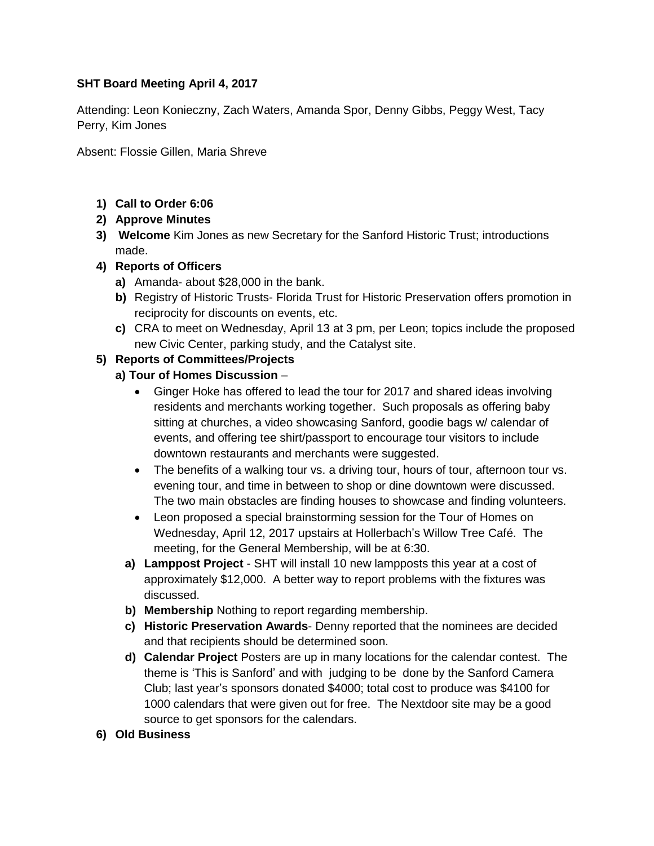## **SHT Board Meeting April 4, 2017**

Attending: Leon Konieczny, Zach Waters, Amanda Spor, Denny Gibbs, Peggy West, Tacy Perry, Kim Jones

Absent: Flossie Gillen, Maria Shreve

# **1) Call to Order 6:06**

## **2) Approve Minutes**

**3) Welcome** Kim Jones as new Secretary for the Sanford Historic Trust; introductions made.

## **4) Reports of Officers**

- **a)** Amanda- about \$28,000 in the bank.
- **b)** Registry of Historic Trusts- Florida Trust for Historic Preservation offers promotion in reciprocity for discounts on events, etc.
- **c)** CRA to meet on Wednesday, April 13 at 3 pm, per Leon; topics include the proposed new Civic Center, parking study, and the Catalyst site.

## **5) Reports of Committees/Projects**

## **a) Tour of Homes Discussion** –

- Ginger Hoke has offered to lead the tour for 2017 and shared ideas involving residents and merchants working together. Such proposals as offering baby sitting at churches, a video showcasing Sanford, goodie bags w/ calendar of events, and offering tee shirt/passport to encourage tour visitors to include downtown restaurants and merchants were suggested.
- The benefits of a walking tour vs. a driving tour, hours of tour, afternoon tour vs. evening tour, and time in between to shop or dine downtown were discussed. The two main obstacles are finding houses to showcase and finding volunteers.
- Leon proposed a special brainstorming session for the Tour of Homes on Wednesday, April 12, 2017 upstairs at Hollerbach's Willow Tree Café. The meeting, for the General Membership, will be at 6:30.
- **a) Lamppost Project** SHT will install 10 new lampposts this year at a cost of approximately \$12,000. A better way to report problems with the fixtures was discussed.
- **b) Membership** Nothing to report regarding membership.
- **c) Historic Preservation Awards** Denny reported that the nominees are decided and that recipients should be determined soon.
- **d) Calendar Project** Posters are up in many locations for the calendar contest. The theme is 'This is Sanford' and with judging to be done by the Sanford Camera Club; last year's sponsors donated \$4000; total cost to produce was \$4100 for 1000 calendars that were given out for free. The Nextdoor site may be a good source to get sponsors for the calendars.

#### **6) Old Business**